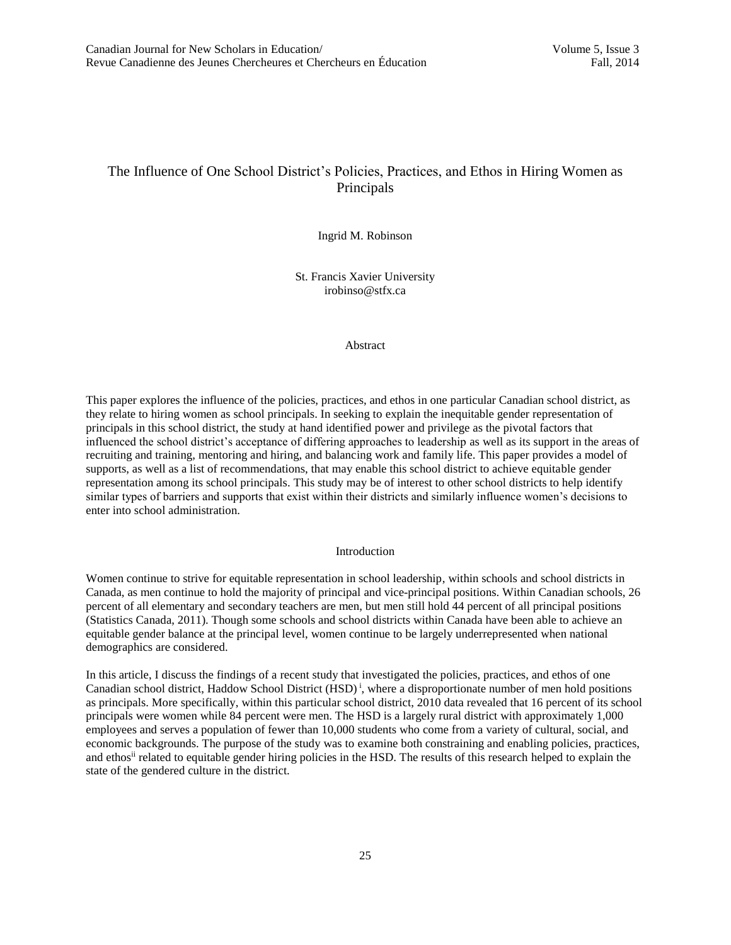# The Influence of One School District's Policies, Practices, and Ethos in Hiring Women as Principals

Ingrid M. Robinson

St. Francis Xavier University irobinso@stfx.ca

Abstract

This paper explores the influence of the policies, practices, and ethos in one particular Canadian school district, as they relate to hiring women as school principals. In seeking to explain the inequitable gender representation of principals in this school district, the study at hand identified power and privilege as the pivotal factors that influenced the school district's acceptance of differing approaches to leadership as well as its support in the areas of recruiting and training, mentoring and hiring, and balancing work and family life. This paper provides a model of supports, as well as a list of recommendations, that may enable this school district to achieve equitable gender representation among its school principals. This study may be of interest to other school districts to help identify similar types of barriers and supports that exist within their districts and similarly influence women's decisions to enter into school administration.

#### Introduction

Women continue to strive for equitable representation in school leadership, within schools and school districts in Canada, as men continue to hold the majority of principal and vice-principal positions. Within Canadian schools, 26 percent of all elementary and secondary teachers are men, but men still hold 44 percent of all principal positions (Statistics Canada, 2011). Though some schools and school districts within Canada have been able to achieve an equitable gender balance at the principal level, women continue to be largely underrepresented when national demographics are considered.

In this article, I discuss the findings of a recent study that investigated the policies, practices, and ethos of one Canadian school district, Haddow School District  $(HSD)^{i}$ , where a disproportionate number of men hold positions as principals. More specifically, within this particular school district, 2010 data revealed that 16 percent of its school principals were women while 84 percent were men. The HSD is a largely rural district with approximately 1,000 employees and serves a population of fewer than 10,000 students who come from a variety of cultural, social, and economic backgrounds. The purpose of the study was to examine both constraining and enabling policies, practices, and ethos<sup>ii</sup> related to equitable gender hiring policies in the HSD. The results of this research helped to explain the state of the gendered culture in the district.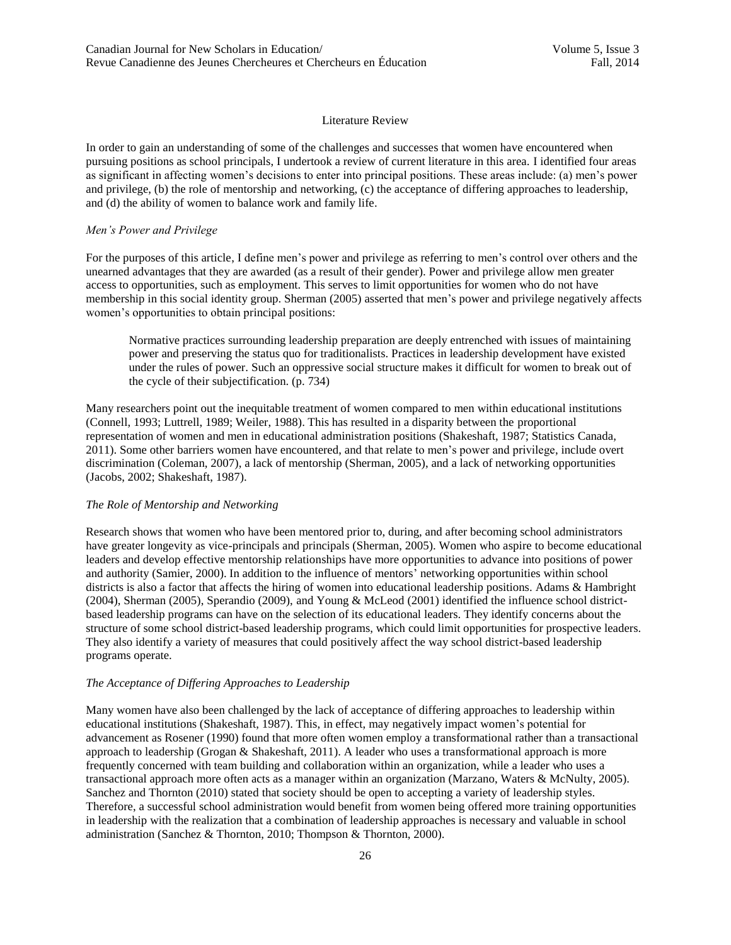#### Literature Review

In order to gain an understanding of some of the challenges and successes that women have encountered when pursuing positions as school principals, I undertook a review of current literature in this area. I identified four areas as significant in affecting women's decisions to enter into principal positions. These areas include: (a) men's power and privilege, (b) the role of mentorship and networking, (c) the acceptance of differing approaches to leadership, and (d) the ability of women to balance work and family life.

## *Men's Power and Privilege*

For the purposes of this article, I define men's power and privilege as referring to men's control over others and the unearned advantages that they are awarded (as a result of their gender). Power and privilege allow men greater access to opportunities, such as employment. This serves to limit opportunities for women who do not have membership in this social identity group. Sherman (2005) asserted that men's power and privilege negatively affects women's opportunities to obtain principal positions:

Normative practices surrounding leadership preparation are deeply entrenched with issues of maintaining power and preserving the status quo for traditionalists. Practices in leadership development have existed under the rules of power. Such an oppressive social structure makes it difficult for women to break out of the cycle of their subjectification. (p. 734)

Many researchers point out the inequitable treatment of women compared to men within educational institutions (Connell, 1993; Luttrell, 1989; Weiler, 1988). This has resulted in a disparity between the proportional representation of women and men in educational administration positions (Shakeshaft, 1987; Statistics Canada, 2011). Some other barriers women have encountered, and that relate to men's power and privilege, include overt discrimination (Coleman, 2007), a lack of mentorship (Sherman, 2005), and a lack of networking opportunities (Jacobs, 2002; Shakeshaft, 1987).

## *The Role of Mentorship and Networking*

Research shows that women who have been mentored prior to, during, and after becoming school administrators have greater longevity as vice-principals and principals (Sherman, 2005). Women who aspire to become educational leaders and develop effective mentorship relationships have more opportunities to advance into positions of power and authority (Samier, 2000). In addition to the influence of mentors' networking opportunities within school districts is also a factor that affects the hiring of women into educational leadership positions. Adams & Hambright (2004), Sherman (2005), Sperandio (2009), and Young & McLeod (2001) identified the influence school districtbased leadership programs can have on the selection of its educational leaders. They identify concerns about the structure of some school district-based leadership programs, which could limit opportunities for prospective leaders. They also identify a variety of measures that could positively affect the way school district-based leadership programs operate.

#### *The Acceptance of Differing Approaches to Leadership*

Many women have also been challenged by the lack of acceptance of differing approaches to leadership within educational institutions (Shakeshaft, 1987). This, in effect, may negatively impact women's potential for advancement as Rosener (1990) found that more often women employ a transformational rather than a transactional approach to leadership (Grogan & Shakeshaft, 2011). A leader who uses a transformational approach is more frequently concerned with team building and collaboration within an organization, while a leader who uses a transactional approach more often acts as a manager within an organization (Marzano, Waters & McNulty, 2005). Sanchez and Thornton (2010) stated that society should be open to accepting a variety of leadership styles. Therefore, a successful school administration would benefit from women being offered more training opportunities in leadership with the realization that a combination of leadership approaches is necessary and valuable in school administration (Sanchez & Thornton, 2010; Thompson & Thornton, 2000).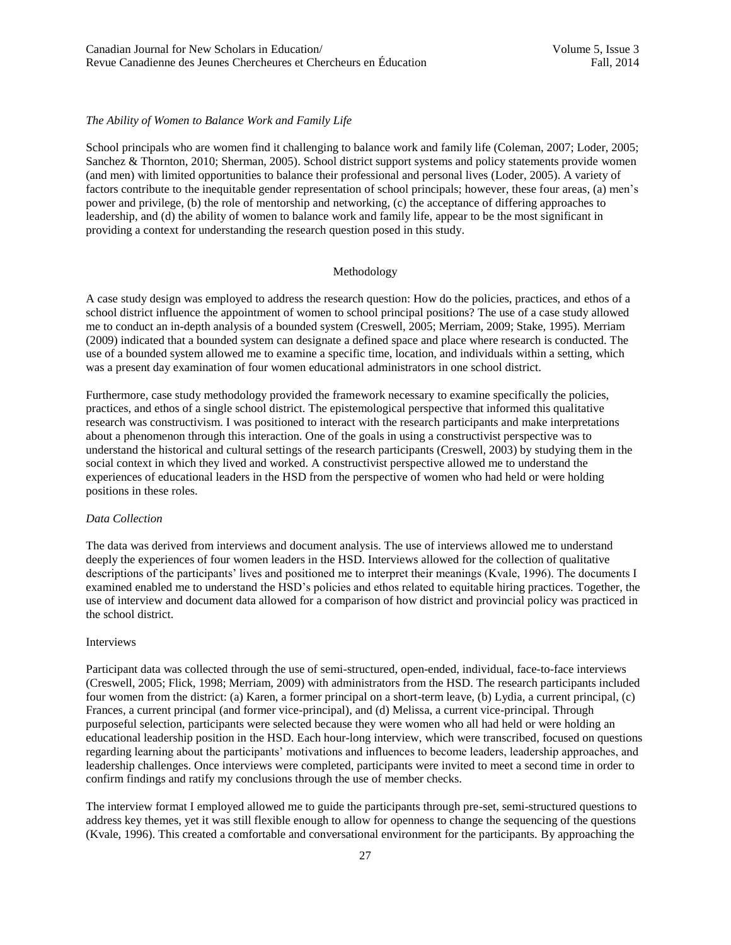# *The Ability of Women to Balance Work and Family Life*

School principals who are women find it challenging to balance work and family life (Coleman, 2007; Loder, 2005; Sanchez & Thornton, 2010; Sherman, 2005). School district support systems and policy statements provide women (and men) with limited opportunities to balance their professional and personal lives (Loder, 2005). A variety of factors contribute to the inequitable gender representation of school principals; however, these four areas, (a) men's power and privilege, (b) the role of mentorship and networking, (c) the acceptance of differing approaches to leadership, and (d) the ability of women to balance work and family life, appear to be the most significant in providing a context for understanding the research question posed in this study.

# Methodology

A case study design was employed to address the research question: How do the policies, practices, and ethos of a school district influence the appointment of women to school principal positions? The use of a case study allowed me to conduct an in-depth analysis of a bounded system (Creswell, 2005; Merriam, 2009; Stake, 1995). Merriam (2009) indicated that a bounded system can designate a defined space and place where research is conducted. The use of a bounded system allowed me to examine a specific time, location, and individuals within a setting, which was a present day examination of four women educational administrators in one school district.

Furthermore, case study methodology provided the framework necessary to examine specifically the policies, practices, and ethos of a single school district. The epistemological perspective that informed this qualitative research was constructivism. I was positioned to interact with the research participants and make interpretations about a phenomenon through this interaction. One of the goals in using a constructivist perspective was to understand the historical and cultural settings of the research participants (Creswell, 2003) by studying them in the social context in which they lived and worked. A constructivist perspective allowed me to understand the experiences of educational leaders in the HSD from the perspective of women who had held or were holding positions in these roles.

#### *Data Collection*

The data was derived from interviews and document analysis. The use of interviews allowed me to understand deeply the experiences of four women leaders in the HSD. Interviews allowed for the collection of qualitative descriptions of the participants' lives and positioned me to interpret their meanings (Kvale, 1996). The documents I examined enabled me to understand the HSD's policies and ethos related to equitable hiring practices. Together, the use of interview and document data allowed for a comparison of how district and provincial policy was practiced in the school district.

#### Interviews

Participant data was collected through the use of semi-structured, open-ended, individual, face-to-face interviews (Creswell, 2005; Flick, 1998; Merriam, 2009) with administrators from the HSD. The research participants included four women from the district: (a) Karen, a former principal on a short-term leave, (b) Lydia, a current principal, (c) Frances, a current principal (and former vice-principal), and (d) Melissa, a current vice-principal. Through purposeful selection, participants were selected because they were women who all had held or were holding an educational leadership position in the HSD. Each hour-long interview, which were transcribed, focused on questions regarding learning about the participants' motivations and influences to become leaders, leadership approaches, and leadership challenges. Once interviews were completed, participants were invited to meet a second time in order to confirm findings and ratify my conclusions through the use of member checks.

The interview format I employed allowed me to guide the participants through pre-set, semi-structured questions to address key themes, yet it was still flexible enough to allow for openness to change the sequencing of the questions (Kvale, 1996). This created a comfortable and conversational environment for the participants. By approaching the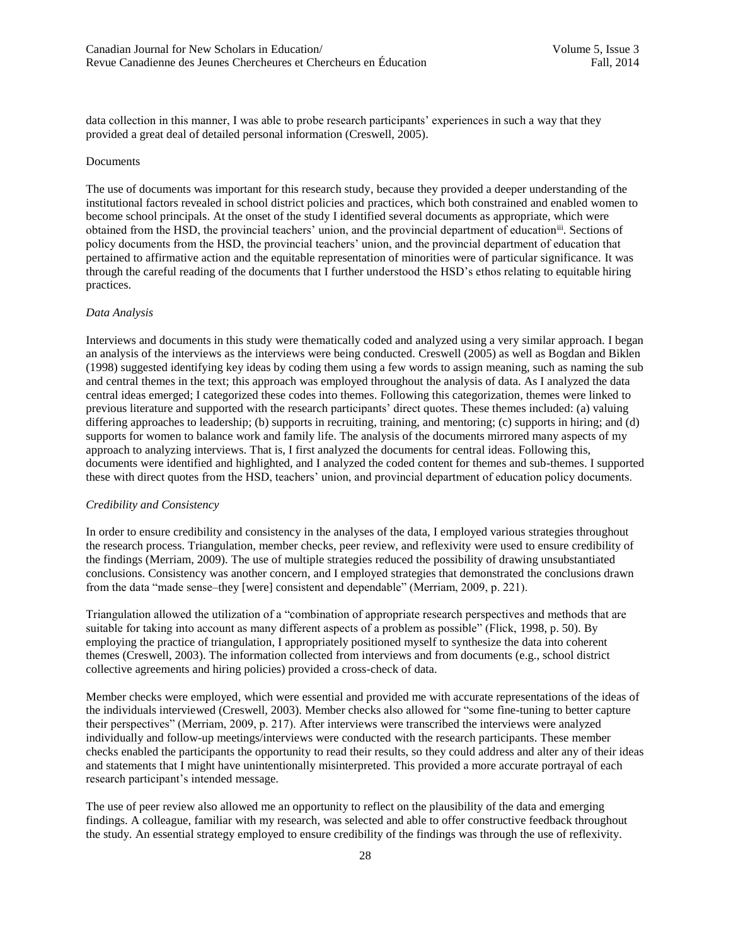data collection in this manner, I was able to probe research participants' experiences in such a way that they provided a great deal of detailed personal information (Creswell, 2005).

#### Documents

The use of documents was important for this research study, because they provided a deeper understanding of the institutional factors revealed in school district policies and practices, which both constrained and enabled women to become school principals. At the onset of the study I identified several documents as appropriate, which were obtained from the HSD, the provincial teachers' union, and the provincial department of education<sup>iii</sup>. Sections of policy documents from the HSD, the provincial teachers' union, and the provincial department of education that pertained to affirmative action and the equitable representation of minorities were of particular significance. It was through the careful reading of the documents that I further understood the HSD's ethos relating to equitable hiring practices.

#### *Data Analysis*

Interviews and documents in this study were thematically coded and analyzed using a very similar approach. I began an analysis of the interviews as the interviews were being conducted. Creswell (2005) as well as Bogdan and Biklen (1998) suggested identifying key ideas by coding them using a few words to assign meaning, such as naming the sub and central themes in the text; this approach was employed throughout the analysis of data. As I analyzed the data central ideas emerged; I categorized these codes into themes. Following this categorization, themes were linked to previous literature and supported with the research participants' direct quotes. These themes included: (a) valuing differing approaches to leadership; (b) supports in recruiting, training, and mentoring; (c) supports in hiring; and (d) supports for women to balance work and family life. The analysis of the documents mirrored many aspects of my approach to analyzing interviews. That is, I first analyzed the documents for central ideas. Following this, documents were identified and highlighted, and I analyzed the coded content for themes and sub-themes. I supported these with direct quotes from the HSD, teachers' union, and provincial department of education policy documents.

## *Credibility and Consistency*

In order to ensure credibility and consistency in the analyses of the data, I employed various strategies throughout the research process. Triangulation, member checks, peer review, and reflexivity were used to ensure credibility of the findings (Merriam, 2009). The use of multiple strategies reduced the possibility of drawing unsubstantiated conclusions. Consistency was another concern, and I employed strategies that demonstrated the conclusions drawn from the data "made sense–they [were] consistent and dependable" (Merriam, 2009, p. 221).

Triangulation allowed the utilization of a "combination of appropriate research perspectives and methods that are suitable for taking into account as many different aspects of a problem as possible" (Flick, 1998, p. 50). By employing the practice of triangulation, I appropriately positioned myself to synthesize the data into coherent themes (Creswell, 2003). The information collected from interviews and from documents (e.g., school district collective agreements and hiring policies) provided a cross-check of data.

Member checks were employed, which were essential and provided me with accurate representations of the ideas of the individuals interviewed (Creswell, 2003). Member checks also allowed for "some fine-tuning to better capture their perspectives" (Merriam, 2009, p. 217). After interviews were transcribed the interviews were analyzed individually and follow-up meetings/interviews were conducted with the research participants. These member checks enabled the participants the opportunity to read their results, so they could address and alter any of their ideas and statements that I might have unintentionally misinterpreted. This provided a more accurate portrayal of each research participant's intended message.

The use of peer review also allowed me an opportunity to reflect on the plausibility of the data and emerging findings. A colleague, familiar with my research, was selected and able to offer constructive feedback throughout the study. An essential strategy employed to ensure credibility of the findings was through the use of reflexivity.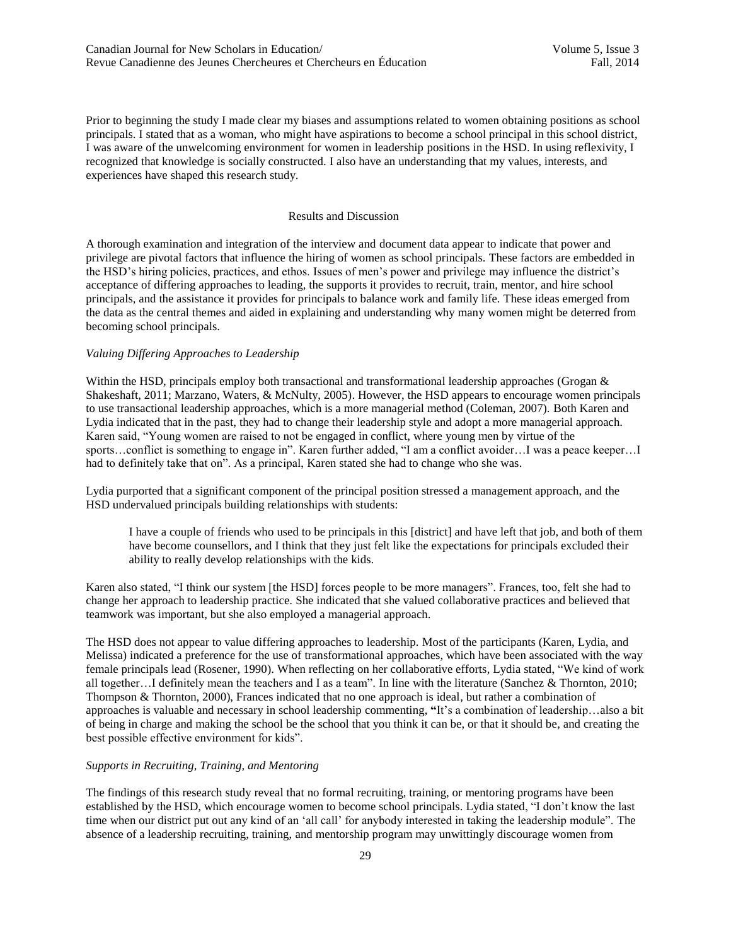Prior to beginning the study I made clear my biases and assumptions related to women obtaining positions as school principals. I stated that as a woman, who might have aspirations to become a school principal in this school district, I was aware of the unwelcoming environment for women in leadership positions in the HSD. In using reflexivity, I recognized that knowledge is socially constructed. I also have an understanding that my values, interests, and experiences have shaped this research study.

## Results and Discussion

A thorough examination and integration of the interview and document data appear to indicate that power and privilege are pivotal factors that influence the hiring of women as school principals. These factors are embedded in the HSD's hiring policies, practices, and ethos. Issues of men's power and privilege may influence the district's acceptance of differing approaches to leading, the supports it provides to recruit, train, mentor, and hire school principals, and the assistance it provides for principals to balance work and family life. These ideas emerged from the data as the central themes and aided in explaining and understanding why many women might be deterred from becoming school principals.

# *Valuing Differing Approaches to Leadership*

Within the HSD, principals employ both transactional and transformational leadership approaches (Grogan & Shakeshaft, 2011; Marzano, Waters, & McNulty, 2005). However, the HSD appears to encourage women principals to use transactional leadership approaches, which is a more managerial method (Coleman, 2007). Both Karen and Lydia indicated that in the past, they had to change their leadership style and adopt a more managerial approach. Karen said, "Young women are raised to not be engaged in conflict, where young men by virtue of the sports…conflict is something to engage in". Karen further added, "I am a conflict avoider…I was a peace keeper…I had to definitely take that on". As a principal, Karen stated she had to change who she was.

Lydia purported that a significant component of the principal position stressed a management approach, and the HSD undervalued principals building relationships with students:

I have a couple of friends who used to be principals in this [district] and have left that job, and both of them have become counsellors, and I think that they just felt like the expectations for principals excluded their ability to really develop relationships with the kids.

Karen also stated, "I think our system [the HSD] forces people to be more managers". Frances, too, felt she had to change her approach to leadership practice. She indicated that she valued collaborative practices and believed that teamwork was important, but she also employed a managerial approach.

The HSD does not appear to value differing approaches to leadership. Most of the participants (Karen, Lydia, and Melissa) indicated a preference for the use of transformational approaches, which have been associated with the way female principals lead (Rosener, 1990). When reflecting on her collaborative efforts, Lydia stated, "We kind of work all together…I definitely mean the teachers and I as a team". In line with the literature (Sanchez & Thornton, 2010; Thompson & Thornton, 2000), Frances indicated that no one approach is ideal, but rather a combination of approaches is valuable and necessary in school leadership commenting, **"**It's a combination of leadership…also a bit of being in charge and making the school be the school that you think it can be, or that it should be, and creating the best possible effective environment for kids".

#### *Supports in Recruiting, Training, and Mentoring*

The findings of this research study reveal that no formal recruiting, training, or mentoring programs have been established by the HSD, which encourage women to become school principals. Lydia stated, "I don't know the last time when our district put out any kind of an 'all call' for anybody interested in taking the leadership module". The absence of a leadership recruiting, training, and mentorship program may unwittingly discourage women from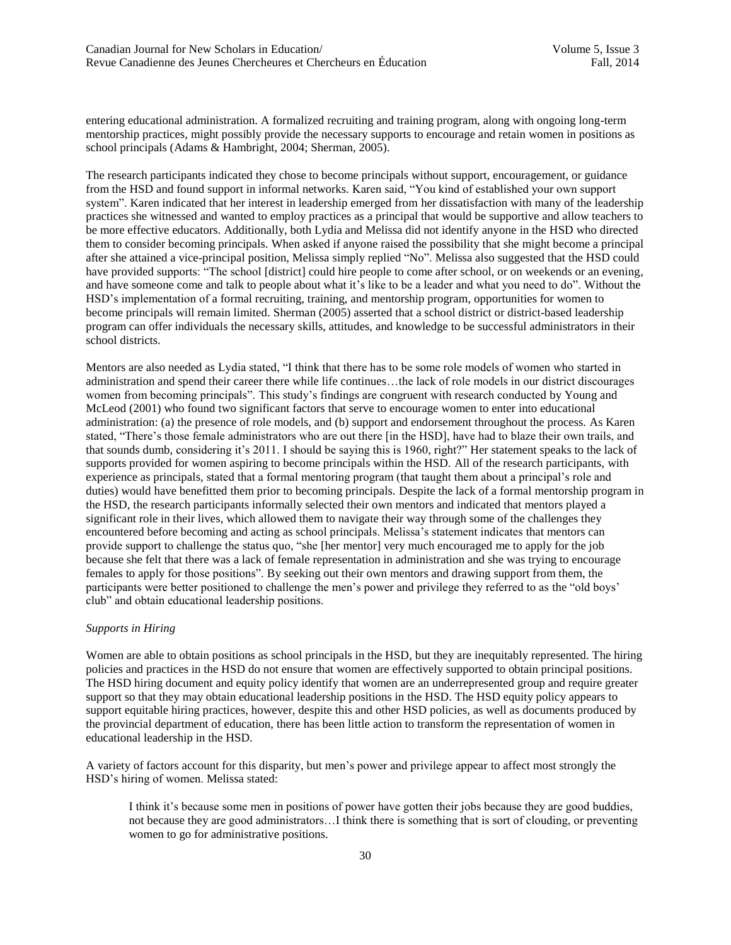entering educational administration. A formalized recruiting and training program, along with ongoing long-term mentorship practices, might possibly provide the necessary supports to encourage and retain women in positions as school principals (Adams & Hambright, 2004; Sherman, 2005).

The research participants indicated they chose to become principals without support, encouragement, or guidance from the HSD and found support in informal networks. Karen said, "You kind of established your own support system". Karen indicated that her interest in leadership emerged from her dissatisfaction with many of the leadership practices she witnessed and wanted to employ practices as a principal that would be supportive and allow teachers to be more effective educators. Additionally, both Lydia and Melissa did not identify anyone in the HSD who directed them to consider becoming principals. When asked if anyone raised the possibility that she might become a principal after she attained a vice-principal position, Melissa simply replied "No". Melissa also suggested that the HSD could have provided supports: "The school [district] could hire people to come after school, or on weekends or an evening, and have someone come and talk to people about what it's like to be a leader and what you need to do". Without the HSD's implementation of a formal recruiting, training, and mentorship program, opportunities for women to become principals will remain limited. Sherman (2005) asserted that a school district or district-based leadership program can offer individuals the necessary skills, attitudes, and knowledge to be successful administrators in their school districts.

Mentors are also needed as Lydia stated, "I think that there has to be some role models of women who started in administration and spend their career there while life continues…the lack of role models in our district discourages women from becoming principals". This study's findings are congruent with research conducted by Young and McLeod (2001) who found two significant factors that serve to encourage women to enter into educational administration: (a) the presence of role models, and (b) support and endorsement throughout the process. As Karen stated, "There's those female administrators who are out there [in the HSD], have had to blaze their own trails, and that sounds dumb, considering it's 2011. I should be saying this is 1960, right?" Her statement speaks to the lack of supports provided for women aspiring to become principals within the HSD. All of the research participants, with experience as principals, stated that a formal mentoring program (that taught them about a principal's role and duties) would have benefitted them prior to becoming principals. Despite the lack of a formal mentorship program in the HSD, the research participants informally selected their own mentors and indicated that mentors played a significant role in their lives, which allowed them to navigate their way through some of the challenges they encountered before becoming and acting as school principals. Melissa's statement indicates that mentors can provide support to challenge the status quo, "she [her mentor] very much encouraged me to apply for the job because she felt that there was a lack of female representation in administration and she was trying to encourage females to apply for those positions". By seeking out their own mentors and drawing support from them, the participants were better positioned to challenge the men's power and privilege they referred to as the "old boys' club" and obtain educational leadership positions.

## *Supports in Hiring*

Women are able to obtain positions as school principals in the HSD, but they are inequitably represented. The hiring policies and practices in the HSD do not ensure that women are effectively supported to obtain principal positions. The HSD hiring document and equity policy identify that women are an underrepresented group and require greater support so that they may obtain educational leadership positions in the HSD. The HSD equity policy appears to support equitable hiring practices, however, despite this and other HSD policies, as well as documents produced by the provincial department of education, there has been little action to transform the representation of women in educational leadership in the HSD.

A variety of factors account for this disparity, but men's power and privilege appear to affect most strongly the HSD's hiring of women. Melissa stated:

I think it's because some men in positions of power have gotten their jobs because they are good buddies, not because they are good administrators…I think there is something that is sort of clouding, or preventing women to go for administrative positions.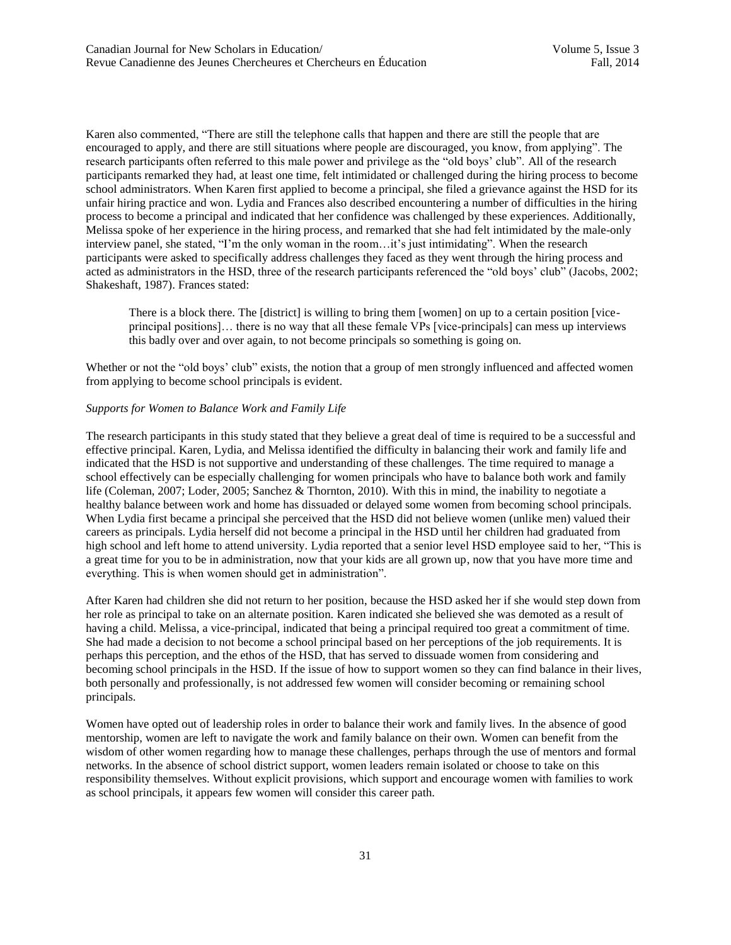Karen also commented, "There are still the telephone calls that happen and there are still the people that are encouraged to apply, and there are still situations where people are discouraged, you know, from applying". The research participants often referred to this male power and privilege as the "old boys' club". All of the research participants remarked they had, at least one time, felt intimidated or challenged during the hiring process to become school administrators. When Karen first applied to become a principal, she filed a grievance against the HSD for its unfair hiring practice and won. Lydia and Frances also described encountering a number of difficulties in the hiring process to become a principal and indicated that her confidence was challenged by these experiences. Additionally, Melissa spoke of her experience in the hiring process, and remarked that she had felt intimidated by the male-only interview panel, she stated, "I'm the only woman in the room…it's just intimidating". When the research participants were asked to specifically address challenges they faced as they went through the hiring process and acted as administrators in the HSD, three of the research participants referenced the "old boys' club" (Jacobs, 2002; Shakeshaft, 1987). Frances stated:

There is a block there. The [district] is willing to bring them [women] on up to a certain position [viceprincipal positions]… there is no way that all these female VPs [vice-principals] can mess up interviews this badly over and over again, to not become principals so something is going on.

Whether or not the "old boys' club" exists, the notion that a group of men strongly influenced and affected women from applying to become school principals is evident.

# *Supports for Women to Balance Work and Family Life*

The research participants in this study stated that they believe a great deal of time is required to be a successful and effective principal. Karen, Lydia, and Melissa identified the difficulty in balancing their work and family life and indicated that the HSD is not supportive and understanding of these challenges. The time required to manage a school effectively can be especially challenging for women principals who have to balance both work and family life (Coleman, 2007; Loder, 2005; Sanchez & Thornton, 2010). With this in mind, the inability to negotiate a healthy balance between work and home has dissuaded or delayed some women from becoming school principals. When Lydia first became a principal she perceived that the HSD did not believe women (unlike men) valued their careers as principals. Lydia herself did not become a principal in the HSD until her children had graduated from high school and left home to attend university. Lydia reported that a senior level HSD employee said to her, "This is a great time for you to be in administration, now that your kids are all grown up, now that you have more time and everything. This is when women should get in administration".

After Karen had children she did not return to her position, because the HSD asked her if she would step down from her role as principal to take on an alternate position. Karen indicated she believed she was demoted as a result of having a child. Melissa, a vice-principal, indicated that being a principal required too great a commitment of time. She had made a decision to not become a school principal based on her perceptions of the job requirements. It is perhaps this perception, and the ethos of the HSD, that has served to dissuade women from considering and becoming school principals in the HSD. If the issue of how to support women so they can find balance in their lives, both personally and professionally, is not addressed few women will consider becoming or remaining school principals.

Women have opted out of leadership roles in order to balance their work and family lives. In the absence of good mentorship, women are left to navigate the work and family balance on their own. Women can benefit from the wisdom of other women regarding how to manage these challenges, perhaps through the use of mentors and formal networks. In the absence of school district support, women leaders remain isolated or choose to take on this responsibility themselves. Without explicit provisions, which support and encourage women with families to work as school principals, it appears few women will consider this career path.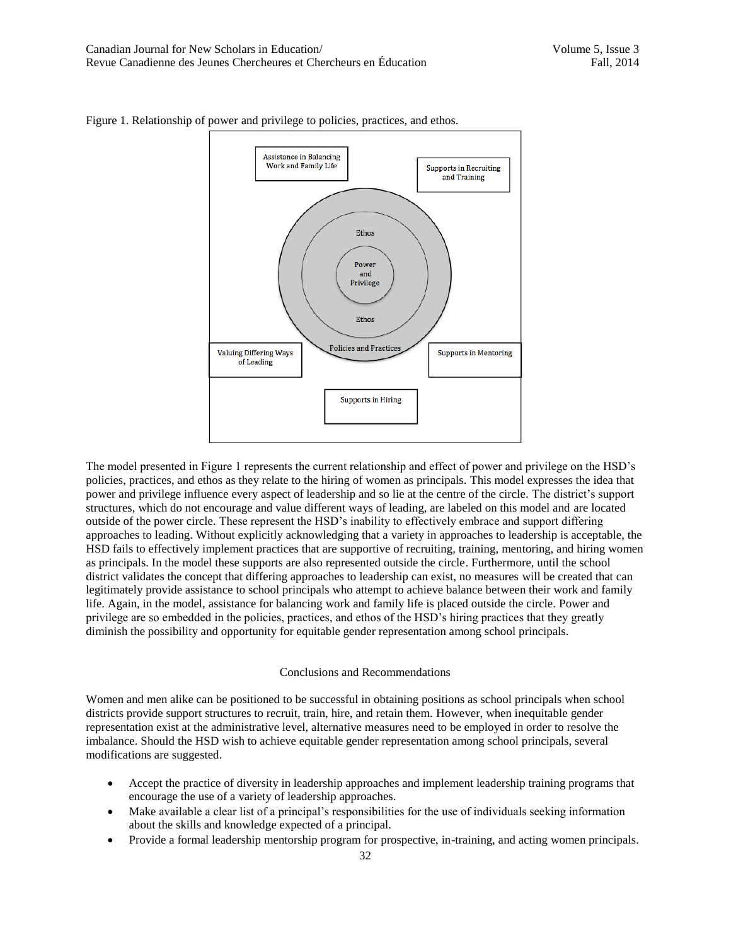

Figure 1. Relationship of power and privilege to policies, practices, and ethos.

The model presented in Figure 1 represents the current relationship and effect of power and privilege on the HSD's policies, practices, and ethos as they relate to the hiring of women as principals. This model expresses the idea that power and privilege influence every aspect of leadership and so lie at the centre of the circle. The district's support structures, which do not encourage and value different ways of leading, are labeled on this model and are located outside of the power circle. These represent the HSD's inability to effectively embrace and support differing approaches to leading. Without explicitly acknowledging that a variety in approaches to leadership is acceptable, the HSD fails to effectively implement practices that are supportive of recruiting, training, mentoring, and hiring women as principals. In the model these supports are also represented outside the circle. Furthermore, until the school district validates the concept that differing approaches to leadership can exist, no measures will be created that can legitimately provide assistance to school principals who attempt to achieve balance between their work and family life. Again, in the model, assistance for balancing work and family life is placed outside the circle. Power and privilege are so embedded in the policies, practices, and ethos of the HSD's hiring practices that they greatly diminish the possibility and opportunity for equitable gender representation among school principals.

#### Conclusions and Recommendations

Women and men alike can be positioned to be successful in obtaining positions as school principals when school districts provide support structures to recruit, train, hire, and retain them. However, when inequitable gender representation exist at the administrative level, alternative measures need to be employed in order to resolve the imbalance. Should the HSD wish to achieve equitable gender representation among school principals, several modifications are suggested.

- Accept the practice of diversity in leadership approaches and implement leadership training programs that encourage the use of a variety of leadership approaches.
- Make available a clear list of a principal's responsibilities for the use of individuals seeking information about the skills and knowledge expected of a principal.
- Provide a formal leadership mentorship program for prospective, in-training, and acting women principals.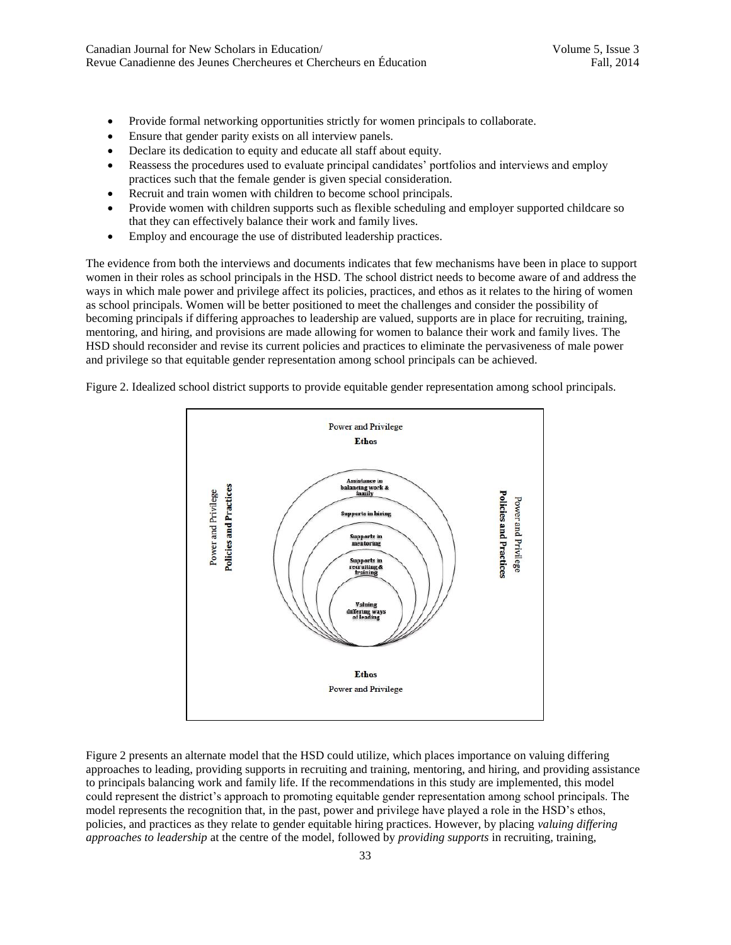- Provide formal networking opportunities strictly for women principals to collaborate.
- Ensure that gender parity exists on all interview panels.
- Declare its dedication to equity and educate all staff about equity.
- Reassess the procedures used to evaluate principal candidates' portfolios and interviews and employ practices such that the female gender is given special consideration.
- Recruit and train women with children to become school principals.
- Provide women with children supports such as flexible scheduling and employer supported childcare so that they can effectively balance their work and family lives.
- Employ and encourage the use of distributed leadership practices.

The evidence from both the interviews and documents indicates that few mechanisms have been in place to support women in their roles as school principals in the HSD. The school district needs to become aware of and address the ways in which male power and privilege affect its policies, practices, and ethos as it relates to the hiring of women as school principals. Women will be better positioned to meet the challenges and consider the possibility of becoming principals if differing approaches to leadership are valued, supports are in place for recruiting, training, mentoring, and hiring, and provisions are made allowing for women to balance their work and family lives. The HSD should reconsider and revise its current policies and practices to eliminate the pervasiveness of male power and privilege so that equitable gender representation among school principals can be achieved.

Figure 2. Idealized school district supports to provide equitable gender representation among school principals.



Figure 2 presents an alternate model that the HSD could utilize, which places importance on valuing differing approaches to leading, providing supports in recruiting and training, mentoring, and hiring, and providing assistance to principals balancing work and family life. If the recommendations in this study are implemented, this model could represent the district's approach to promoting equitable gender representation among school principals. The model represents the recognition that, in the past, power and privilege have played a role in the HSD's ethos, policies, and practices as they relate to gender equitable hiring practices. However, by placing *valuing differing approaches to leadership* at the centre of the model, followed by *providing supports* in recruiting, training,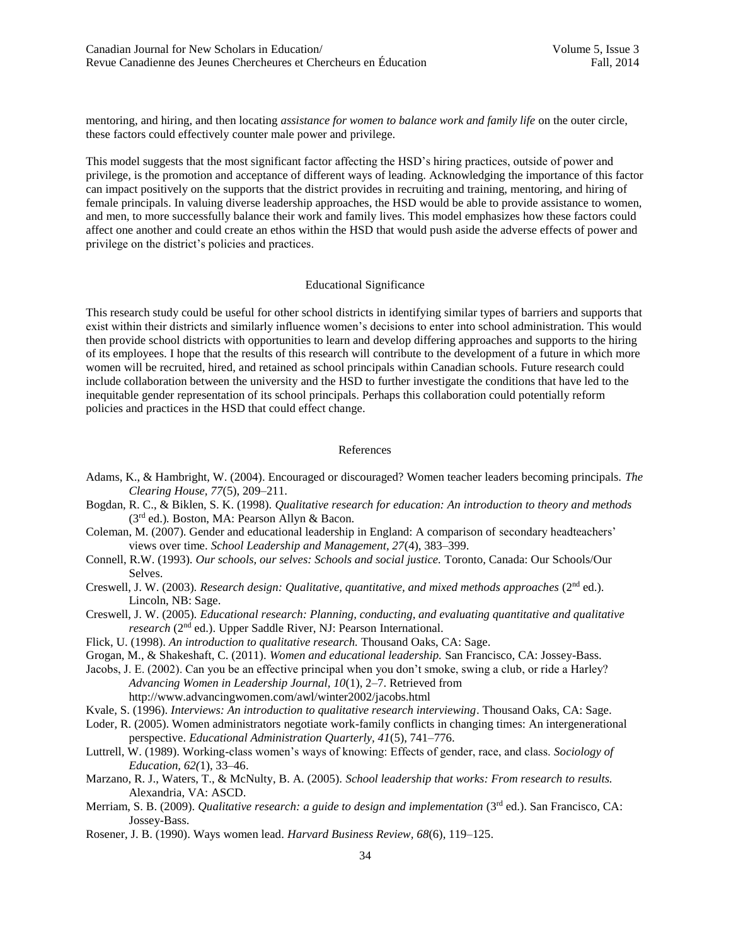mentoring, and hiring, and then locating *assistance for women to balance work and family life* on the outer circle, these factors could effectively counter male power and privilege.

This model suggests that the most significant factor affecting the HSD's hiring practices, outside of power and privilege, is the promotion and acceptance of different ways of leading. Acknowledging the importance of this factor can impact positively on the supports that the district provides in recruiting and training, mentoring, and hiring of female principals. In valuing diverse leadership approaches, the HSD would be able to provide assistance to women, and men, to more successfully balance their work and family lives. This model emphasizes how these factors could affect one another and could create an ethos within the HSD that would push aside the adverse effects of power and privilege on the district's policies and practices.

# Educational Significance

This research study could be useful for other school districts in identifying similar types of barriers and supports that exist within their districts and similarly influence women's decisions to enter into school administration. This would then provide school districts with opportunities to learn and develop differing approaches and supports to the hiring of its employees. I hope that the results of this research will contribute to the development of a future in which more women will be recruited, hired, and retained as school principals within Canadian schools. Future research could include collaboration between the university and the HSD to further investigate the conditions that have led to the inequitable gender representation of its school principals. Perhaps this collaboration could potentially reform policies and practices in the HSD that could effect change.

## References

- Adams, K., & Hambright, W. (2004). Encouraged or discouraged? Women teacher leaders becoming principals. *The Clearing House, 77*(5), 209–211.
- Bogdan, R. C., & Biklen, S. K. (1998). *Qualitative research for education: An introduction to theory and methods* (3 rd ed.)*.* Boston, MA: Pearson Allyn & Bacon.
- Coleman, M. (2007). Gender and educational leadership in England: A comparison of secondary headteachers' views over time. *School Leadership and Management, 27*(4), 383–399.
- Connell, R.W. (1993). *Our schools, our selves: Schools and social justice.* Toronto, Canada: Our Schools/Our Selves.
- Creswell, J. W. (2003). *Research design: Qualitative, quantitative, and mixed methods approaches* (2nd ed.). Lincoln, NB: Sage.
- Creswell, J. W. (2005). *Educational research: Planning, conducting, and evaluating quantitative and qualitative*  research (2<sup>nd</sup> ed.). Upper Saddle River, NJ: Pearson International.
- Flick, U. (1998). *An introduction to qualitative research.* Thousand Oaks, CA: Sage.
- Grogan, M., & Shakeshaft, C. (2011). *Women and educational leadership.* San Francisco, CA: Jossey-Bass.
- Jacobs, J. E. (2002). Can you be an effective principal when you don't smoke, swing a club, or ride a Harley? *Advancing Women in Leadership Journal, 10*(1), 2–7. Retrieved from http://www.advancingwomen.com/awl/winter2002/jacobs.html
- Kvale, S. (1996). *Interviews: An introduction to qualitative research interviewing*. Thousand Oaks, CA: Sage.
- Loder, R. (2005). Women administrators negotiate work-family conflicts in changing times: An intergenerational perspective. *Educational Administration Quarterly, 41*(5), 741–776.
- Luttrell, W. (1989). Working-class women's ways of knowing: Effects of gender, race, and class. *Sociology of Education, 62(*1), 33–46.
- Marzano, R. J., Waters, T., & McNulty, B. A. (2005). *School leadership that works: From research to results.* Alexandria, VA: ASCD.
- Merriam, S. B. (2009). *Qualitative research: a guide to design and implementation* (3<sup>rd</sup> ed.). San Francisco, CA: Jossey-Bass.
- Rosener, J. B. (1990). Ways women lead. *Harvard Business Review, 68*(6), 119–125.